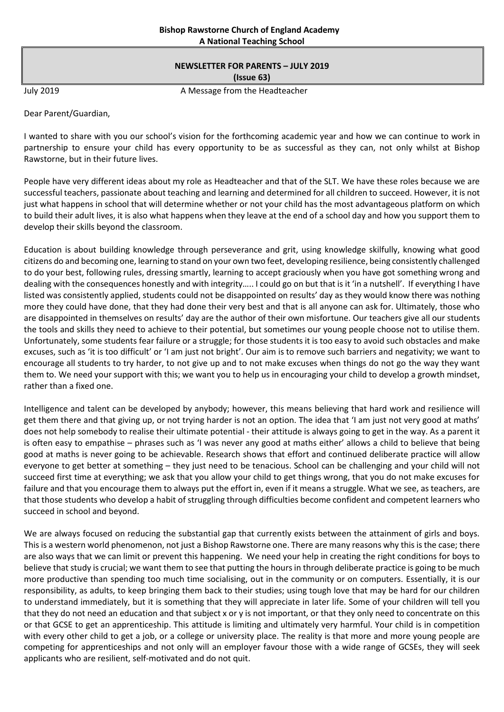# **NEWSLETTER FOR PARENTS – JULY 2019 (Issue 63)**

July 2019 **A Message from the Headteacher** 

Dear Parent/Guardian,

I wanted to share with you our school's vision for the forthcoming academic year and how we can continue to work in partnership to ensure your child has every opportunity to be as successful as they can, not only whilst at Bishop Rawstorne, but in their future lives.

People have very different ideas about my role as Headteacher and that of the SLT. We have these roles because we are successful teachers, passionate about teaching and learning and determined for all children to succeed. However, it is not just what happens in school that will determine whether or not your child has the most advantageous platform on which to build their adult lives, it is also what happens when they leave at the end of a school day and how you support them to develop their skills beyond the classroom.

Education is about building knowledge through perseverance and grit, using knowledge skilfully, knowing what good citizens do and becoming one, learning to stand on your own two feet, developing resilience, being consistently challenged to do your best, following rules, dressing smartly, learning to accept graciously when you have got something wrong and dealing with the consequences honestly and with integrity….. I could go on but that is it 'in a nutshell'. If everything I have listed was consistently applied, students could not be disappointed on results' day as they would know there was nothing more they could have done, that they had done their very best and that is all anyone can ask for. Ultimately, those who are disappointed in themselves on results' day are the author of their own misfortune. Our teachers give all our students the tools and skills they need to achieve to their potential, but sometimes our young people choose not to utilise them. Unfortunately, some students fear failure or a struggle; for those students it is too easy to avoid such obstacles and make excuses, such as 'it is too difficult' or 'I am just not bright'. Our aim is to remove such barriers and negativity; we want to encourage all students to try harder, to not give up and to not make excuses when things do not go the way they want them to. We need your support with this; we want you to help us in encouraging your child to develop a growth mindset, rather than a fixed one.

Intelligence and talent can be developed by anybody; however, this means believing that hard work and resilience will get them there and that giving up, or not trying harder is not an option. The idea that 'I am just not very good at maths' does not help somebody to realise their ultimate potential - their attitude is always going to get in the way. As a parent it is often easy to empathise – phrases such as 'I was never any good at maths either' allows a child to believe that being good at maths is never going to be achievable. Research shows that effort and continued deliberate practice will allow everyone to get better at something – they just need to be tenacious. School can be challenging and your child will not succeed first time at everything; we ask that you allow your child to get things wrong, that you do not make excuses for failure and that you encourage them to always put the effort in, even if it means a struggle. What we see, as teachers, are that those students who develop a habit of struggling through difficulties become confident and competent learners who succeed in school and beyond.

We are always focused on reducing the substantial gap that currently exists between the attainment of girls and boys. This is a western world phenomenon, not just a Bishop Rawstorne one. There are many reasons why this is the case; there are also ways that we can limit or prevent this happening. We need your help in creating the right conditions for boys to believe that study is crucial; we want them to see that putting the hours in through deliberate practice is going to be much more productive than spending too much time socialising, out in the community or on computers. Essentially, it is our responsibility, as adults, to keep bringing them back to their studies; using tough love that may be hard for our children to understand immediately, but it is something that they will appreciate in later life. Some of your children will tell you that they do not need an education and that subject x or y is not important, or that they only need to concentrate on this or that GCSE to get an apprenticeship. This attitude is limiting and ultimately very harmful. Your child is in competition with every other child to get a job, or a college or university place. The reality is that more and more young people are competing for apprenticeships and not only will an employer favour those with a wide range of GCSEs, they will seek applicants who are resilient, self-motivated and do not quit.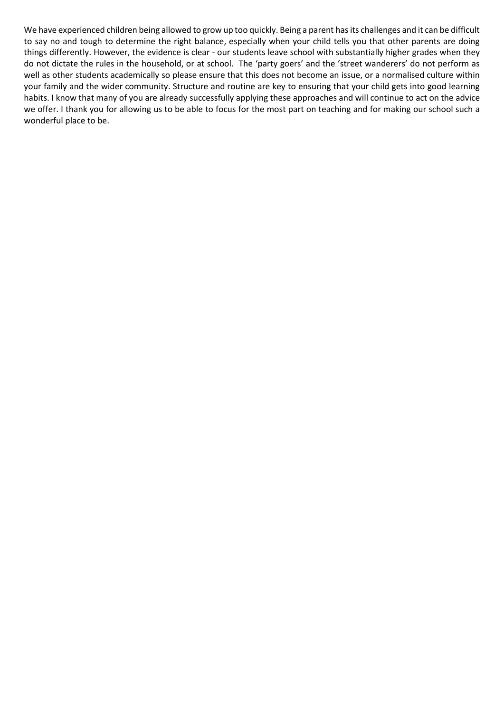We have experienced children being allowed to grow up too quickly. Being a parent has its challenges and it can be difficult to say no and tough to determine the right balance, especially when your child tells you that other parents are doing things differently. However, the evidence is clear - our students leave school with substantially higher grades when they do not dictate the rules in the household, or at school. The 'party goers' and the 'street wanderers' do not perform as well as other students academically so please ensure that this does not become an issue, or a normalised culture within your family and the wider community. Structure and routine are key to ensuring that your child gets into good learning habits. I know that many of you are already successfully applying these approaches and will continue to act on the advice we offer. I thank you for allowing us to be able to focus for the most part on teaching and for making our school such a wonderful place to be.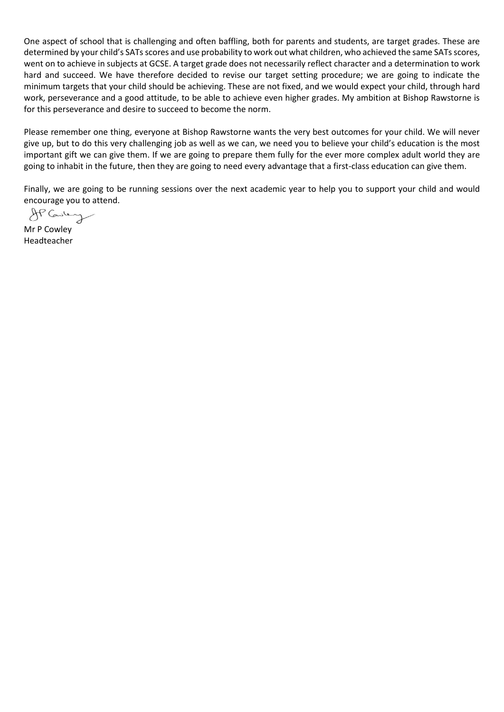One aspect of school that is challenging and often baffling, both for parents and students, are target grades. These are determined by your child's SATs scores and use probability to work out what children, who achieved the same SATs scores, went on to achieve in subjects at GCSE. A target grade does not necessarily reflect character and a determination to work hard and succeed. We have therefore decided to revise our target setting procedure; we are going to indicate the minimum targets that your child should be achieving. These are not fixed, and we would expect your child, through hard work, perseverance and a good attitude, to be able to achieve even higher grades. My ambition at Bishop Rawstorne is for this perseverance and desire to succeed to become the norm.

Please remember one thing, everyone at Bishop Rawstorne wants the very best outcomes for your child. We will never give up, but to do this very challenging job as well as we can, we need you to believe your child's education is the most important gift we can give them. If we are going to prepare them fully for the ever more complex adult world they are going to inhabit in the future, then they are going to need every advantage that a first-class education can give them.

Finally, we are going to be running sessions over the next academic year to help you to support your child and would

encourage you to attend.

Mr P Cowley Headteacher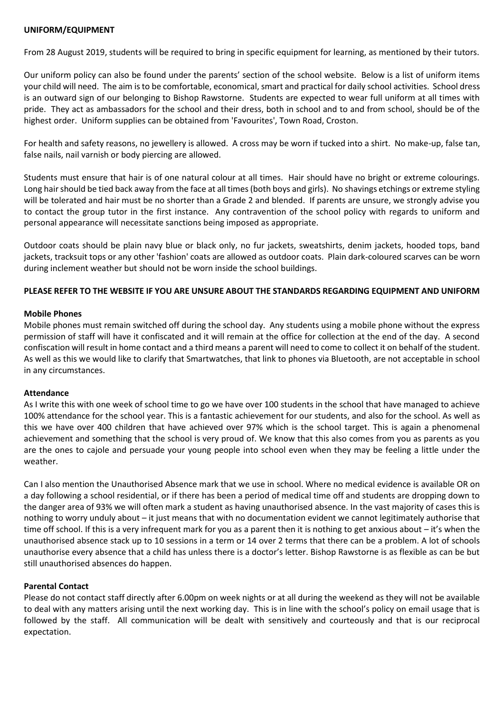# **UNIFORM/EQUIPMENT**

From 28 August 2019, students will be required to bring in specific equipment for learning, as mentioned by their tutors.

Our uniform policy can also be found under the parents' section of the school website. Below is a list of uniform items your child will need. The aim is to be comfortable, economical, smart and practical for daily school activities. School dress is an outward sign of our belonging to Bishop Rawstorne. Students are expected to wear full uniform at all times with pride. They act as ambassadors for the school and their dress, both in school and to and from school, should be of the highest order. Uniform supplies can be obtained from 'Favourites', Town Road, Croston.

For health and safety reasons, no jewellery is allowed. A cross may be worn if tucked into a shirt. No make-up, false tan, false nails, nail varnish or body piercing are allowed.

Students must ensure that hair is of one natural colour at all times. Hair should have no bright or extreme colourings. Long hair should be tied back away from the face at all times (both boys and girls). No shavings etchings or extreme styling will be tolerated and hair must be no shorter than a Grade 2 and blended. If parents are unsure, we strongly advise you to contact the group tutor in the first instance. Any contravention of the school policy with regards to uniform and personal appearance will necessitate sanctions being imposed as appropriate.

Outdoor coats should be plain navy blue or black only, no fur jackets, sweatshirts, denim jackets, hooded tops, band jackets, tracksuit tops or any other 'fashion' coats are allowed as outdoor coats. Plain dark-coloured scarves can be worn during inclement weather but should not be worn inside the school buildings.

# **PLEASE REFER TO THE WEBSITE IF YOU ARE UNSURE ABOUT THE STANDARDS REGARDING EQUIPMENT AND UNIFORM**

# **Mobile Phones**

Mobile phones must remain switched off during the school day. Any students using a mobile phone without the express permission of staff will have it confiscated and it will remain at the office for collection at the end of the day. A second confiscation will result in home contact and a third means a parent will need to come to collect it on behalf of the student. As well as this we would like to clarify that Smartwatches, that link to phones via Bluetooth, are not acceptable in school in any circumstances.

# **Attendance**

As I write this with one week of school time to go we have over 100 students in the school that have managed to achieve 100% attendance for the school year. This is a fantastic achievement for our students, and also for the school. As well as this we have over 400 children that have achieved over 97% which is the school target. This is again a phenomenal achievement and something that the school is very proud of. We know that this also comes from you as parents as you are the ones to cajole and persuade your young people into school even when they may be feeling a little under the weather.

Can I also mention the Unauthorised Absence mark that we use in school. Where no medical evidence is available OR on a day following a school residential, or if there has been a period of medical time off and students are dropping down to the danger area of 93% we will often mark a student as having unauthorised absence. In the vast majority of cases this is nothing to worry unduly about – it just means that with no documentation evident we cannot legitimately authorise that time off school. If this is a very infrequent mark for you as a parent then it is nothing to get anxious about – it's when the unauthorised absence stack up to 10 sessions in a term or 14 over 2 terms that there can be a problem. A lot of schools unauthorise every absence that a child has unless there is a doctor's letter. Bishop Rawstorne is as flexible as can be but still unauthorised absences do happen.

# **Parental Contact**

Please do not contact staff directly after 6.00pm on week nights or at all during the weekend as they will not be available to deal with any matters arising until the next working day. This is in line with the school's policy on email usage that is followed by the staff. All communication will be dealt with sensitively and courteously and that is our reciprocal expectation.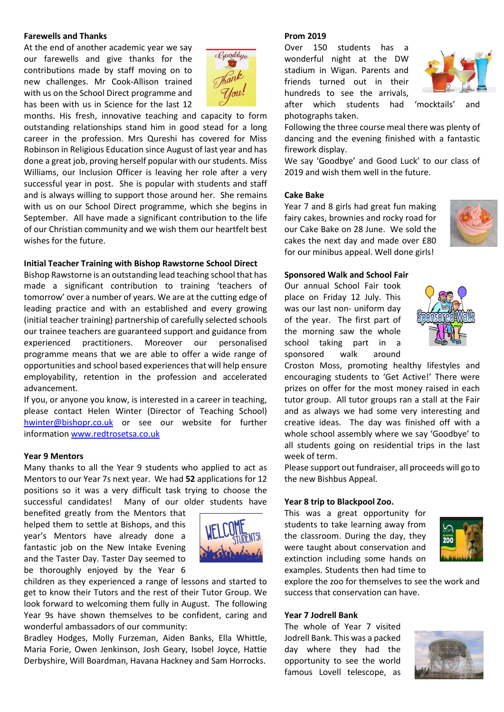### **Farewells and Thanks**

At the end of another academic year we say our farewells and give thanks for the contributions made by staff moving on to new challenges. Mr Cook-Allison trained with us on the School Direct programme and has been with us in Science for the last 12



months. His fresh, innovative teaching and capacity to form outstanding relationships stand him in good stead for a long career in the profession. Mrs Qureshi has covered for Miss Robinson in Religious Education since August of last year and has done a great job, proving herself popular with our students. Miss Williams, our Inclusion Officer is leaving her role after a very successful year in post. She is popular with students and staff and is always willing to support those around her. She remains with us on our School Direct programme, which she begins in September. All have made a significant contribution to the life of our Christian community and we wish them our heartfelt best wishes for the future

### **Initial Teacher Training with Bishop Rawstorne School Direct**

Bishop Rawstorne is an outstanding lead teaching school that has made a significant contribution to training 'teachers of tomorrow' over a number of years. We are at the cutting edge of leading practice and with an established and every growing (initial teacher training) partnership of carefully selected schools our trainee teachers are guaranteed support and guidance from experienced practitioners. Moreover our personalised programme means that we are able to offer a wide range of opportunities and school based experiences that will help ensure employability, retention in the profession and accelerated advancement.

If you, or anyone you know, is interested in a career in teaching, please contact Helen Winter (Director of Teaching School) [hwinter@bishopr.co.uk](mailto:hwinter@bishopr.co.uk) or see our website for further information [www.redtrosetsa.co.uk](http://www.redtrosetsa.co.uk/)

### **Year 9 Mentors**

Many thanks to all the Year 9 students who applied to act as Mentors to our Year 7s next year. We had **52** applications for 12 positions so it was a very difficult task trying to choose the successful candidates! Many of our older students have

benefited greatly from the Mentors that helped them to settle at Bishops, and this year's Mentors have already done a fantastic job on the New Intake Evening and the Taster Day. Taster Day seemed to be thoroughly enjoyed by the Year 6



children as they experienced a range of lessons and started to get to know their Tutors and the rest of their Tutor Group. We look forward to welcoming them fully in August. The following Year 9s have shown themselves to be confident, caring and wonderful ambassadors of our community:

Bradley Hodges, Molly Furzeman, Aiden Banks, Ella Whittle, Maria Forie, Owen Jenkinson, Josh Geary, Isobel Joyce, Hattie Derbyshire, Will Boardman, Havana Hackney and Sam Horrocks.

#### **Prom 2019**

Over 150 students has a wonderful night at the DW stadium in Wigan. Parents and friends turned out in their hundreds to see the arrivals, after which students had 'mocktails' and

photographs taken.



Following the three course meal there was plenty of dancing and the evening finished with a fantastic firework display.

We say 'Goodbye' and Good Luck' to our class of 2019 and wish them well in the future.

### **Cake Bake**

Year 7 and 8 girls had great fun making fairy cakes, brownies and rocky road for our Cake Bake on 28 June. We sold the cakes the next day and made over £80 for our minibus appeal. Well done girls!



### **Sponsored Walk and School Fair**

Our annual School Fair took place on Friday 12 July. This was our last non- uniform day of the year. The first part of the morning saw the whole school taking part in a sponsored walk around



Croston Moss, promoting healthy lifestyles and encouraging students to 'Get Active!' There were prizes on offer for the most money raised in each tutor group. All tutor groups ran a stall at the Fair and as always we had some very interesting and creative ideas. The day was finished off with a whole school assembly where we say 'Goodbye' to all students going on residential trips in the last week of term.

Please support out fundraiser, all proceeds will go to the new Bishbus Appeal.

### **Year 8 trip to Blackpool Zoo.**

This was a great opportunity for students to take learning away from the classroom. During the day, they were taught about conservation and extinction including some hands on examples. Students then had time to



explore the zoo for themselves to see the work and success that conservation can have.

### **Year 7 Jodrell Bank**

The whole of Year 7 visited Jodrell Bank. This was a packed day where they had the opportunity to see the world famous Lovell telescope, as

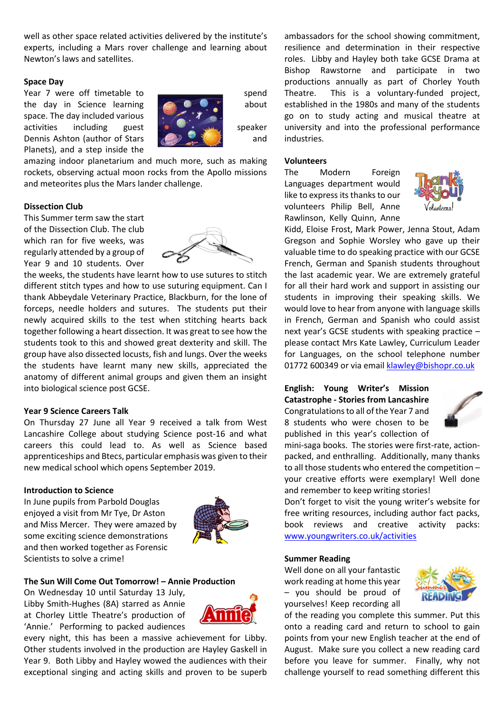well as other space related activities delivered by the institute's experts, including a Mars rover challenge and learning about Newton's laws and satellites.

### **Space Day**

Year 7 were off timetable to **subsequentially** spend the day in Science learning  $\Box$  about about space. The day included various activities including guest  $\mathbf{s}$  speaker Dennis Ashton (author of Stars **and** and Planets), and a step inside the



amazing indoor planetarium and much more, such as making rockets, observing actual moon rocks from the Apollo missions and meteorites plus the Mars lander challenge.

### **Dissection Club**

This Summer term saw the start of the Dissection Club. The club which ran for five weeks, was regularly attended by a group of Year 9 and 10 students. Over



the weeks, the students have learnt how to use sutures to stitch different stitch types and how to use suturing equipment. Can I thank Abbeydale Veterinary Practice, Blackburn, for the lone of forceps, needle holders and sutures. The students put their newly acquired skills to the test when stitching hearts back together following a heart dissection. It was great to see how the students took to this and showed great dexterity and skill. The group have also dissected locusts, fish and lungs. Over the weeks the students have learnt many new skills, appreciated the anatomy of different animal groups and given them an insight into biological science post GCSE.

# **Year 9 Science Careers Talk**

On Thursday 27 June all Year 9 received a talk from West Lancashire College about studying Science post-16 and what careers this could lead to. As well as Science based apprenticeships and Btecs, particular emphasis was given to their new medical school which opens September 2019.

#### **Introduction to Science**

In June pupils from Parbold Douglas enjoyed a visit from Mr Tye, Dr Aston and Miss Mercer. They were amazed by some exciting science demonstrations and then worked together as Forensic Scientists to solve a crime!



# **The Sun Will Come Out Tomorrow! – Annie Production**

On Wednesday 10 until Saturday 13 July, Libby Smith-Hughes (8A) starred as Annie at Chorley Little Theatre's production of 'Annie.' Performing to packed audiences



every night, this has been a massive achievement for Libby. Other students involved in the production are Hayley Gaskell in Year 9. Both Libby and Hayley wowed the audiences with their exceptional singing and acting skills and proven to be superb ambassadors for the school showing commitment, resilience and determination in their respective roles. Libby and Hayley both take GCSE Drama at Bishop Rawstorne and participate in two productions annually as part of Chorley Youth Theatre. This is a voluntary-funded project, established in the 1980s and many of the students go on to study acting and musical theatre at university and into the professional performance industries.

# **Volunteers**

The Modern Foreign Languages department would like to express its thanks to our volunteers Philip Bell, Anne Rawlinson, Kelly Quinn, Anne



Kidd, Eloise Frost, Mark Power, Jenna Stout, Adam Gregson and Sophie Worsley who gave up their valuable time to do speaking practice with our GCSE French, German and Spanish students throughout the last academic year. We are extremely grateful for all their hard work and support in assisting our students in improving their speaking skills. We would love to hear from anyone with language skills in French, German and Spanish who could assist next year's GCSE students with speaking practice – please contact Mrs Kate Lawley, Curriculum Leader for Languages, on the school telephone number 01772 600349 or via emai[l klawley@bishopr.co.uk](mailto:klawley@bishopr.co.uk)

# **English: Young Writer's Mission Catastrophe - Stories from Lancashire**  Congratulations to all of the Year 7 and

8 students who were chosen to be published in this year's collection of



mini-saga books. The stories were first-rate, actionpacked, and enthralling. Additionally, many thanks to all those students who entered the competition – your creative efforts were exemplary! Well done and remember to keep writing stories!

Don't forget to visit the young writer's website for free writing resources, including author fact packs, book reviews and creative activity packs: [www.youngwriters.co.uk/activities](http://www.youngwriters.co.uk/activities)

### **Summer Reading**

Well done on all your fantastic work reading at home this year – you should be proud of yourselves! Keep recording all



of the reading you complete this summer. Put this onto a reading card and return to school to gain points from your new English teacher at the end of August. Make sure you collect a new reading card before you leave for summer. Finally, why not challenge yourself to read something different this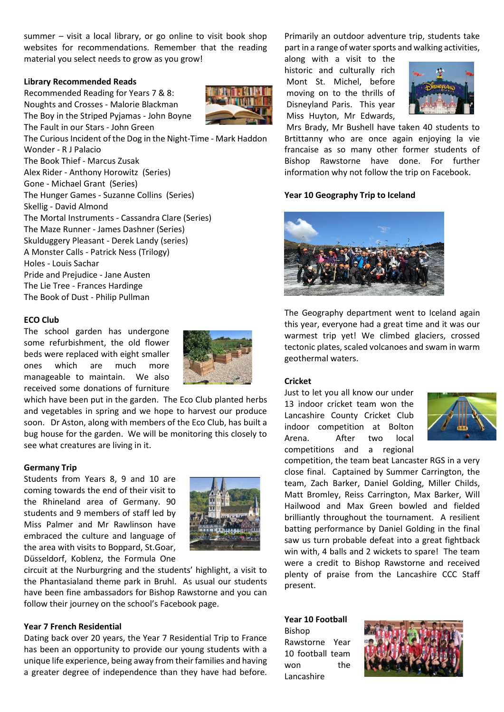summer – visit a local library, or go online to visit book shop websites for recommendations. Remember that the reading material you select needs to grow as you grow!

### **Library Recommended Reads**

Recommended Reading for Years 7 & 8: Noughts and Crosses - Malorie Blackman The Boy in the Striped Pyjamas - John Boyne The Fault in our Stars - John Green

The Curious Incident of the Dog in the Night-Time - Mark Haddon Wonder - R J Palacio The Book Thief - Marcus Zusak Alex Rider - Anthony Horowitz (Series) Gone - Michael Grant (Series) The Hunger Games - Suzanne Collins (Series) Skellig - David Almond The Mortal Instruments - Cassandra Clare (Series) The Maze Runner - James Dashner (Series) Skulduggery Pleasant - Derek Landy (series) A Monster Calls - Patrick Ness (Trilogy) Holes - Louis Sachar Pride and Prejudice - Jane Austen The Lie Tree - Frances Hardinge The Book of Dust - Philip Pullman

# **ECO Club**

The school garden has undergone some refurbishment, the old flower beds were replaced with eight smaller ones which are much more manageable to maintain. We also received some donations of furniture

which have been put in the garden. The Eco Club planted herbs and vegetables in spring and we hope to harvest our produce soon. Dr Aston, along with members of the Eco Club, has built a bug house for the garden. We will be monitoring this closely to see what creatures are living in it.

# **Germany Trip**

Students from Years 8, 9 and 10 are coming towards the end of their visit to the Rhineland area of Germany. 90 students and 9 members of staff led by Miss Palmer and Mr Rawlinson have embraced the culture and language of the area with visits to Boppard, St.Goar, Düsseldorf, Koblenz, the Formula One



circuit at the Nurburgring and the students' highlight, a visit to the Phantasialand theme park in Bruhl. As usual our students have been fine ambassadors for Bishop Rawstorne and you can follow their journey on the school's Facebook page.

### **Year 7 French Residential**

Dating back over 20 years, the Year 7 Residential Trip to France has been an opportunity to provide our young students with a unique life experience, being away from their families and having a greater degree of independence than they have had before.

Primarily an outdoor adventure trip, students take part in a range of water sports and walking activities,

along with a visit to the historic and culturally rich Mont St. Michel, before moving on to the thrills of Disneyland Paris. This year Miss Huyton, Mr Edwards,



Mrs Brady, Mr Bushell have taken 40 students to Brtittanny who are once again enjoying la vie francaise as so many other former students of Bishop Rawstorne have done. For further information why not follow the trip on Facebook.

### **Year 10 Geography Trip to Iceland**



The Geography department went to Iceland again this year, everyone had a great time and it was our warmest trip yet! We climbed glaciers, crossed tectonic plates, scaled volcanoes and swam in warm geothermal waters.

#### **Cricket**

Just to let you all know our under 13 indoor cricket team won the Lancashire County Cricket Club indoor competition at Bolton Arena. After two local competitions and a regional



competition, the team beat Lancaster RGS in a very close final. Captained by Summer Carrington, the team, Zach Barker, Daniel Golding, Miller Childs, Matt Bromley, Reiss Carrington, Max Barker, Will Hailwood and Max Green bowled and fielded brilliantly throughout the tournament. A resilient batting performance by Daniel Golding in the final saw us turn probable defeat into a great fightback win with, 4 balls and 2 wickets to spare! The team were a credit to Bishop Rawstorne and received plenty of praise from the Lancashire CCC Staff present.

# **Year 10 Football**

Bishop Rawstorne Year 10 football team won the Lancashire

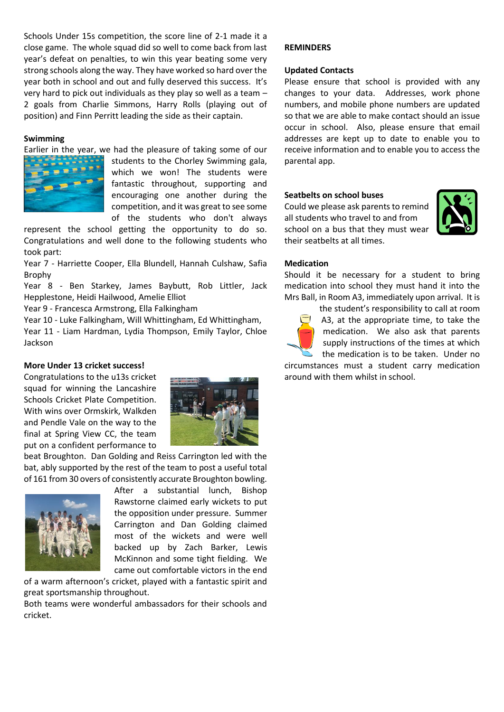Schools Under 15s competition, the score line of 2-1 made it a close game. The whole squad did so well to come back from last year's defeat on penalties, to win this year beating some very strong schools along the way. They have worked so hard over the year both in school and out and fully deserved this success. It's very hard to pick out individuals as they play so well as a team – 2 goals from Charlie Simmons, Harry Rolls (playing out of position) and Finn Perritt leading the side as their captain.

# **Swimming**

Earlier in the year, we had the pleasure of taking some of our



students to the Chorley Swimming gala, which we won! The students were fantastic throughout, supporting and encouraging one another during the competition, and it was great to see some of the students who don't always

represent the school getting the opportunity to do so. Congratulations and well done to the following students who took part:

Year 7 - Harriette Cooper, Ella Blundell, Hannah Culshaw, Safia Brophy

Year 8 - Ben Starkey, James Baybutt, Rob Littler, Jack Hepplestone, Heidi Hailwood, Amelie Elliot

Year 9 - Francesca Armstrong, Ella Falkingham

Year 10 - Luke Falkingham, Will Whittingham, Ed Whittingham,

Year 11 - Liam Hardman, Lydia Thompson, Emily Taylor, Chloe Jackson

# **More Under 13 cricket success!**

Congratulations to the u13s cricket squad for winning the Lancashire Schools Cricket Plate Competition. With wins over Ormskirk, Walkden and Pendle Vale on the way to the final at Spring View CC, the team put on a confident performance to



beat Broughton. Dan Golding and Reiss Carrington led with the bat, ably supported by the rest of the team to post a useful total of 161 from 30 overs of consistently accurate Broughton bowling.



After a substantial lunch, Bishop Rawstorne claimed early wickets to put the opposition under pressure. Summer Carrington and Dan Golding claimed most of the wickets and were well backed up by Zach Barker, Lewis McKinnon and some tight fielding. We came out comfortable victors in the end

of a warm afternoon's cricket, played with a fantastic spirit and great sportsmanship throughout.

Both teams were wonderful ambassadors for their schools and cricket.

# **REMINDERS**

### **Updated Contacts**

Please ensure that school is provided with any changes to your data. Addresses, work phone numbers, and mobile phone numbers are updated so that we are able to make contact should an issue occur in school. Also, please ensure that email addresses are kept up to date to enable you to receive information and to enable you to access the parental app.

### **Seatbelts on school buses**

Could we please ask parents to remind all students who travel to and from school on a bus that they must wear their seatbelts at all times.



# **Medication**

Should it be necessary for a student to bring medication into school they must hand it into the Mrs Ball, in Room A3, immediately upon arrival. It is

the student's responsibility to call at room A3, at the appropriate time, to take the medication. We also ask that parents supply instructions of the times at which the medication is to be taken. Under no

circumstances must a student carry medication around with them whilst in school.